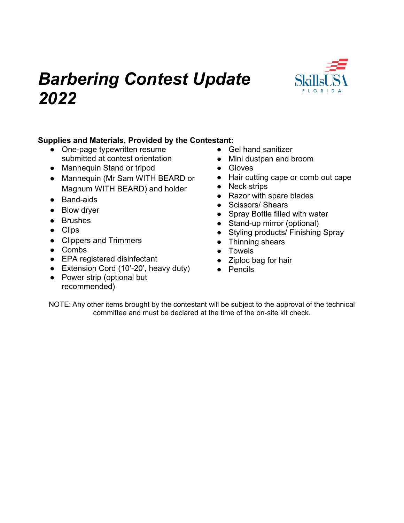# *Barbering Contest Update 2022*



#### **Supplies and Materials, Provided by the Contestant:**

- One-page typewritten resume submitted at contest orientation
- Mannequin Stand or tripod
- Mannequin (Mr Sam WITH BEARD or Magnum WITH BEARD) and holder
- Band-aids
- Blow dryer
- Brushes
- Clips
- Clippers and Trimmers
- Combs
- EPA registered disinfectant
- Extension Cord (10'-20', heavy duty)
- Power strip (optional but recommended)
- Gel hand sanitizer
- Mini dustpan and broom
- Gloves
- Hair cutting cape or comb out cape
- Neck strips
- Razor with spare blades
- Scissors/ Shears
- Spray Bottle filled with water
- Stand-up mirror (optional)
- Styling products/ Finishing Spray
- Thinning shears
- Towels
- Ziploc bag for hair
- Pencils

NOTE: Any other items brought by the contestant will be subject to the approval of the technical committee and must be declared at the time of the on-site kit check.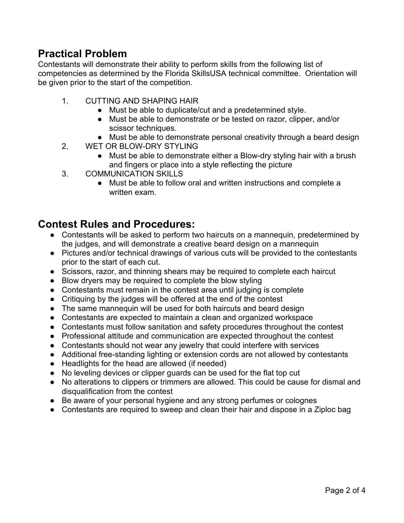## **Practical Problem**

Contestants will demonstrate their ability to perform skills from the following list of competencies as determined by the Florida SkillsUSA technical committee. Orientation will be given prior to the start of the competition.

- 1. CUTTING AND SHAPING HAIR
	- Must be able to duplicate/cut and a predetermined style.
	- Must be able to demonstrate or be tested on razor, clipper, and/or scissor techniques.
	- Must be able to demonstrate personal creativity through a beard design
- 2. WET OR BLOW-DRY STYLING
	- Must be able to demonstrate either a Blow-dry styling hair with a brush and fingers or place into a style reflecting the picture
- 3. COMMUNICATION SKILLS
	- Must be able to follow oral and written instructions and complete a written exam.

### **Contest Rules and Procedures:**

- Contestants will be asked to perform two haircuts on a mannequin, predetermined by the judges, and will demonstrate a creative beard design on a mannequin
- Pictures and/or technical drawings of various cuts will be provided to the contestants prior to the start of each cut.
- Scissors, razor, and thinning shears may be required to complete each haircut
- Blow dryers may be required to complete the blow styling
- Contestants must remain in the contest area until judging is complete
- Critiquing by the judges will be offered at the end of the contest
- The same mannequin will be used for both haircuts and beard design
- Contestants are expected to maintain a clean and organized workspace
- Contestants must follow sanitation and safety procedures throughout the contest
- Professional attitude and communication are expected throughout the contest
- Contestants should not wear any jewelry that could interfere with services
- Additional free-standing lighting or extension cords are not allowed by contestants
- Headlights for the head are allowed (if needed)
- No leveling devices or clipper guards can be used for the flat top cut
- No alterations to clippers or trimmers are allowed. This could be cause for dismal and disqualification from the contest
- Be aware of your personal hygiene and any strong perfumes or colognes
- Contestants are required to sweep and clean their hair and dispose in a Ziploc bag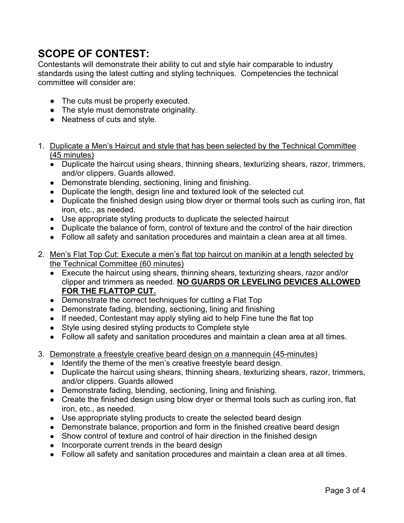## **SCOPE OF CONTEST:**

Contestants will demonstrate their ability to cut and style hair comparable to industry standards using the latest cutting and styling techniques. Competencies the technical committee will consider are:

- The cuts must be properly executed.
- The style must demonstrate originality.
- Neatness of cuts and style.
- 1. Duplicate a Men's Haircut and style that has been selected by the Technical Committee (45 minutes)
	- Duplicate the haircut using shears, thinning shears, texturizing shears, razor, trimmers, and/or clippers. Guards allowed.
	- Demonstrate blending, sectioning, lining and finishing.
	- Duplicate the length, design line and textured look of the selected cut
	- Duplicate the finished design using blow dryer or thermal tools such as curling iron, flat iron, etc., as needed.
	- Use appropriate styling products to duplicate the selected haircut
	- Duplicate the balance of form, control of texture and the control of the hair direction
	- Follow all safety and sanitation procedures and maintain a clean area at all times.
- 2. Men's Flat Top Cut: Execute a men's flat top haircut on manikin at a length selected by the Technical Committee (60 minutes)
	- Execute the haircut using shears, thinning shears, texturizing shears, razor and/or clipper and trimmers as needed. **NO GUARDS OR LEVELING DEVICES ALLOWED FOR THE FLATTOP CUT.**
	- Demonstrate the correct techniques for cutting a Flat Top
	- Demonstrate fading, blending, sectioning, lining and finishing
	- If needed, Contestant may apply styling aid to help Fine tune the flat top
	- Style using desired styling products to Complete style
	- Follow all safety and sanitation procedures and maintain a clean area at all times.
- 3. Demonstrate a freestyle creative beard design on a mannequin (45-minutes)
	- Identify the theme of the men's creative freestyle beard design.
	- Duplicate the haircut using shears, thinning shears, texturizing shears, razor, trimmers, and/or clippers. Guards allowed
	- Demonstrate fading, blending, sectioning, lining and finishing.
	- Create the finished design using blow dryer or thermal tools such as curling iron, flat iron, etc., as needed.
	- Use appropriate styling products to create the selected beard design
	- Demonstrate balance, proportion and form in the finished creative beard design
	- Show control of texture and control of hair direction in the finished design
	- Incorporate current trends in the beard design
	- Follow all safety and sanitation procedures and maintain a clean area at all times.